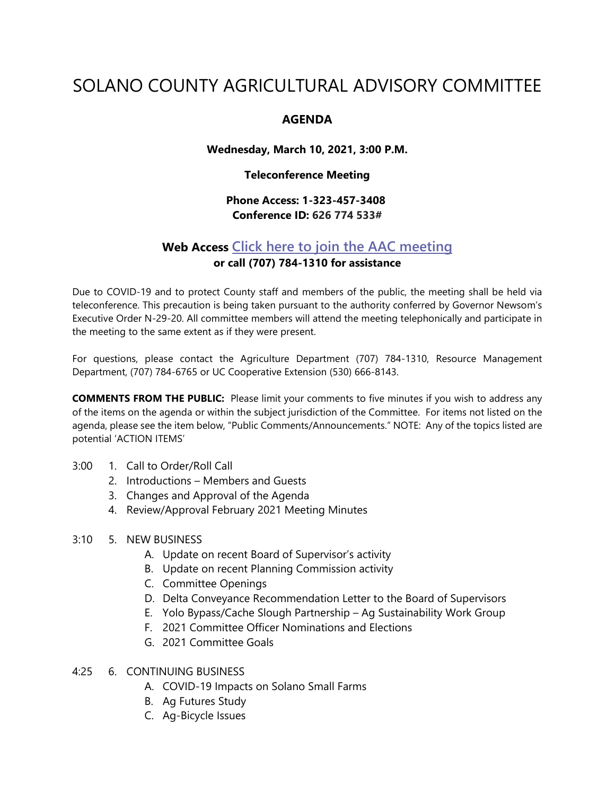# SOLANO COUNTY AGRICULTURAL ADVISORY COMMITTEE

## **AGENDA**

**Wednesday, March 10, 2021, 3:00 P.M.**

#### **Teleconference Meeting**

## **Phone Access: 1-323-457-3408 Conference ID: 626 774 533#**

## **Web Access [Click here to join the AAC meeting](https://teams.microsoft.com/l/meetup-join/19%3ameeting_MDI1ZDEyYmItY2I4Zi00MWMxLWIxM2ItNzRiYmRmMWY5ZGNk%40thread.v2/0?context=%7b%22Tid%22%3a%225e7f20ac-e5f1-4f83-8c3b-ce44b8486421%22%2c%22Oid%22%3a%229b7e0b10-9feb-4114-92ef-db737a66fd13%22%7d) or call (707) 784-1310 for assistance**

Due to COVID-19 and to protect County staff and members of the public, the meeting shall be held via teleconference. This precaution is being taken pursuant to the authority conferred by Governor Newsom's Executive Order N-29-20. All committee members will attend the meeting telephonically and participate in the meeting to the same extent as if they were present.

For questions, please contact the Agriculture Department (707) 784-1310, Resource Management Department, (707) 784-6765 or UC Cooperative Extension (530) 666-8143.

**COMMENTS FROM THE PUBLIC:** Please limit your comments to five minutes if you wish to address any of the items on the agenda or within the subject jurisdiction of the Committee. For items not listed on the agenda, please see the item below, "Public Comments/Announcements." NOTE: Any of the topics listed are potential 'ACTION ITEMS'

- 3:00 1. Call to Order/Roll Call
	- 2. Introductions Members and Guests
	- 3. Changes and Approval of the Agenda
	- 4. Review/Approval February 2021 Meeting Minutes

## 3:10 5. NEW BUSINESS

- A. Update on recent Board of Supervisor's activity
- B. Update on recent Planning Commission activity
- C. Committee Openings
- D. Delta Conveyance Recommendation Letter to the Board of Supervisors
- E. Yolo Bypass/Cache Slough Partnership Ag Sustainability Work Group
- F. 2021 Committee Officer Nominations and Elections
- G. 2021 Committee Goals

## 4:25 6. CONTINUING BUSINESS

- A. COVID-19 Impacts on Solano Small Farms
- B. Ag Futures Study
- C. Ag-Bicycle Issues